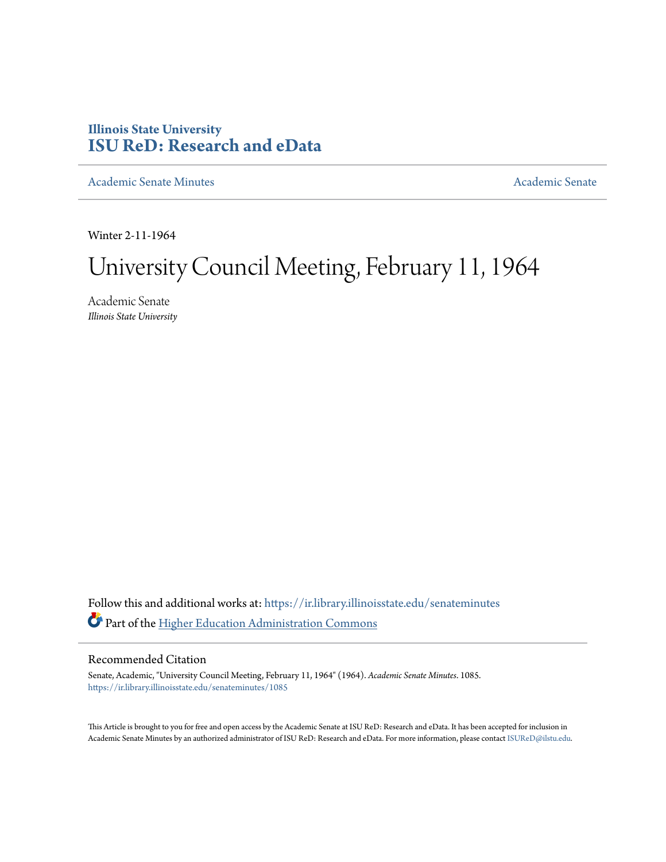# **Illinois State University [ISU ReD: Research and eData](https://ir.library.illinoisstate.edu?utm_source=ir.library.illinoisstate.edu%2Fsenateminutes%2F1085&utm_medium=PDF&utm_campaign=PDFCoverPages)**

[Academic Senate Minutes](https://ir.library.illinoisstate.edu/senateminutes?utm_source=ir.library.illinoisstate.edu%2Fsenateminutes%2F1085&utm_medium=PDF&utm_campaign=PDFCoverPages) [Academic Senate](https://ir.library.illinoisstate.edu/senate?utm_source=ir.library.illinoisstate.edu%2Fsenateminutes%2F1085&utm_medium=PDF&utm_campaign=PDFCoverPages) Academic Senate

Winter 2-11-1964

# University Council Meeting, February 11, 1964

Academic Senate *Illinois State University*

Follow this and additional works at: [https://ir.library.illinoisstate.edu/senateminutes](https://ir.library.illinoisstate.edu/senateminutes?utm_source=ir.library.illinoisstate.edu%2Fsenateminutes%2F1085&utm_medium=PDF&utm_campaign=PDFCoverPages) Part of the [Higher Education Administration Commons](http://network.bepress.com/hgg/discipline/791?utm_source=ir.library.illinoisstate.edu%2Fsenateminutes%2F1085&utm_medium=PDF&utm_campaign=PDFCoverPages)

## Recommended Citation

Senate, Academic, "University Council Meeting, February 11, 1964" (1964). *Academic Senate Minutes*. 1085. [https://ir.library.illinoisstate.edu/senateminutes/1085](https://ir.library.illinoisstate.edu/senateminutes/1085?utm_source=ir.library.illinoisstate.edu%2Fsenateminutes%2F1085&utm_medium=PDF&utm_campaign=PDFCoverPages)

This Article is brought to you for free and open access by the Academic Senate at ISU ReD: Research and eData. It has been accepted for inclusion in Academic Senate Minutes by an authorized administrator of ISU ReD: Research and eData. For more information, please contact [ISUReD@ilstu.edu.](mailto:ISUReD@ilstu.edu)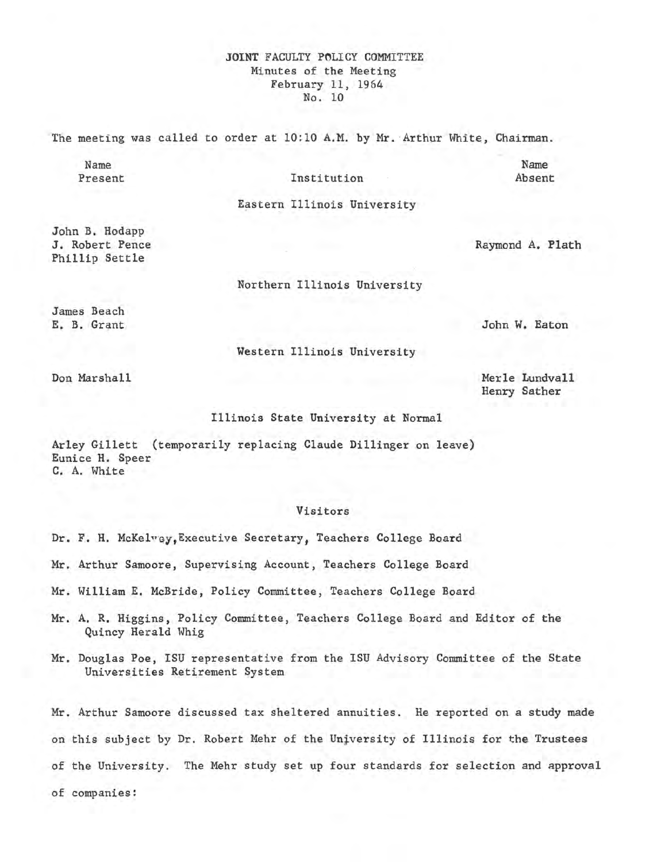### **JOINT FACULTY POLICY COMMITTEE** Minutes of the Meeting February 11, 1964 No. 10

The meeting was called to order at 10:10 A.M. by Mr. Arthur White, Chairman.

Name Present

#### Institution

Name Absent

Eastern Illinois University

John B. Hodapp J. Robert Pence Phillip Settle

Raymond A. Plath

Northern Illinois University

James Beach E. B. Grant

John W. Eaton

Merle Lundvall Henry Sather

Western Illinois University

Don Marshall

Illinois State University at Normal

Arley Gillett (temporarily replacing Claude Dillinger on leave) Eunice H. Speer **C.** A. White

#### Visitors

Dr. F. H. McKelwey, Executive Secretary, Teachers College Board

Mr. Arthur Samoore, Supervising Account, Teachers College Board

Mr. William E. McBride, Policy Committee, Teachers College Board

- **Mr. A. R.** Higgins, Policy Committee, Teachers College Board and Editor of the Quincy Herald Whig
- Mr. Douglas Poe, ISU representative from the ISU Advisory Committee of the State Universities Retirement System

Mr. Arthur Samoore discussed tax sheltered annuities. He reported on a study made on this subject by Dr. Robert Mehr of the university of Illinois for the Trustees of the University. The Mehr study set up four standards for selection and approval of companies: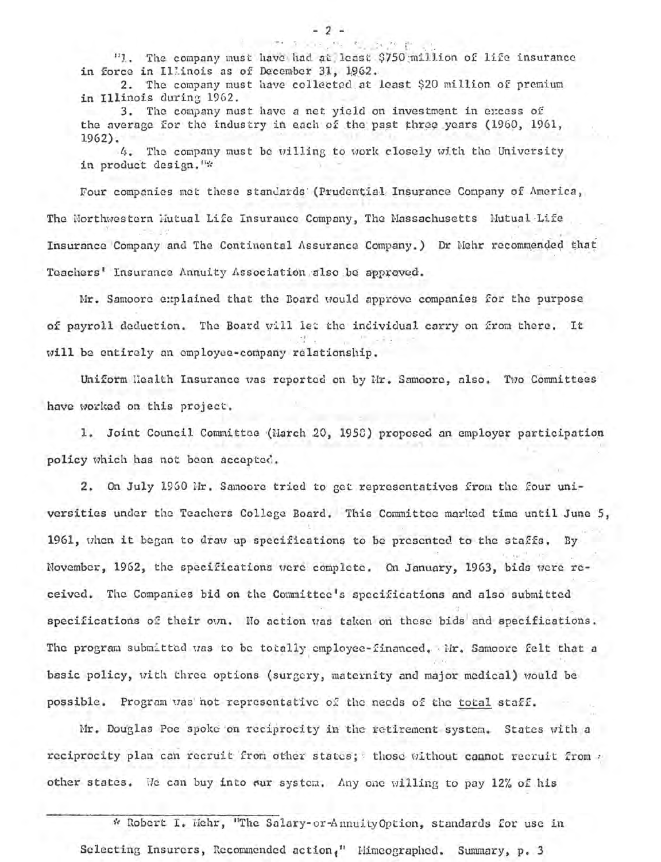"1. The company must have had at least \$750 million of life insurance in force in Illinois as of December 31, 1962.

2. The company must have collected at least \$20 million of premium in Illinois during 1962.

3. The company must have a net yield on investment in excess of the average for the industry in each of the past three years (1960, 1961,  $1962$ .

4. The company must be willing to work closely with the University in product design."\*

Four companies met these standards (Prudential Insurance Company of America, The Northwestern Mutual Life Insurance Company, The Massachusetts Mutual Life Insurance Company and The Continental Assurance Company.) Dr Nehr recommended that Teachers' Insurance Annuity Association also be approved.

Mr. Samoore explained that the Board would approve companies for the purpose of payroll deduction. The Board will let the individual carry on from there. It will be entirely an employee-company relationship.

Uniform Health Insurance was reported on by Mr. Samoore, also. Two Committees have worked on this project.

1. Joint Council Committee (March 20, 1958) proposed an employer participation policy which has not been accepted.

2. On July 1960 Mr. Samoore tried to get representatives from the four universities under the Teachers College Board. This Committee marked time until June 5, 1961, when it began to draw up specifications to be presented to the staffs. By November, 1962, the specifications were complete. On January, 1963, bids were received. The Companies bid on the Committee's specifications and also submitted specifications of their own. No action was taken on these bids and specifications. The program submitted was to be totally employee-financed. Mr. Samoore felt that a basic policy, with three options (surgery, maternity and major medical) would be possible. Program was not representative of the needs of the total staff.

Mr. Douglas Poe spoke on reciprocity in the retirement system. States with a reciprocity plan can recruit from other states; those without cannot recruit from . other states. We can buy into our system. Any one willing to pay 12% of his

\* Robert I. Wehr, "The Salary-or-Annuity Option, standards for use in

Selecting Insurers, Recommended action," Himeographed. Summary, p. 3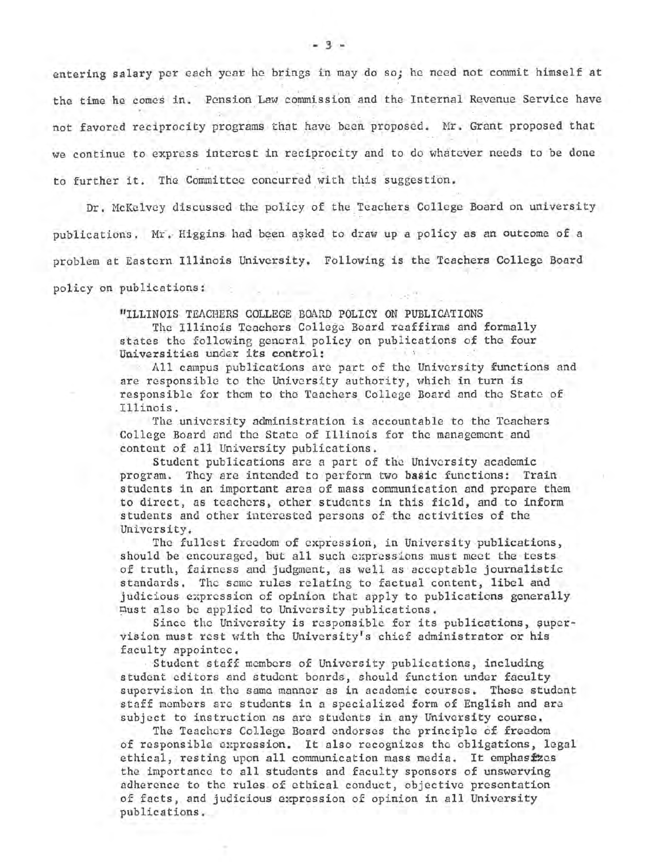entering salary per each year he brings in may do so; he need not commit himself at the time he comes in. Pension Law commission and the Internal Revenue Service have not favored reciprocity programs that have been proposed. Mr. Grant proposed that we continue to express interest in reciprocity and to do whatever needs to be done to further it. The Committee concurred with this suggestion.

Dr. McKelvey discussed the policy of the Teachers College Board on university publications. Mr. Higgins had been asked to draw up a policy as an outcome of a problem at Eastern Illinois University. Following is the Teachers College Board policy on publications:

"ILLINOIS TEACHERS COLLEGE BOARD POLICY ON PUBLICATIONS

The Illinois Teachers College Board reaffirms and formally states the following general policy on publications of the four Universitias under its control:

All campus publications are part of the University functions and are responsible to the University authority, which in turn is responsible for them to the Teachers College Board and the State of Illinois.

The university administration is accountable to the Teachers College Board and the State of Illinois for the management and content of all University publications,

Student publications arc a part of the University academic program. They are intended to perform two **basic** functions: Train students in an important area of mass communication and prepare them to direct, as teachers, other students in this field, and to inform students and other interested persons of the activities of the University.

The fullest freedom of expression, in University publications, should be encouraged, but all such expressions must meet the tests of truth, fairness and judgment, as well as acceptable journalistic standards. The same rules relating to factual content, libel and judicious expression of opinion that apply to publications generally nust also be applied to University publications,

Since the University is responsible for its publications, supervision must rest with the University's chief administrator or his faculty appointee.

Student staff members of University publications, including student editors and student boards, should function under faculty supervision in the same manner as in academic courses. These student staff members arc students in a specialized form of English and arc subject to instruction as are students in any University course.

The Teachers College Board endorses the principle 6£ freedom of responsible expression. It also recognizes the obligations, legal ethical, resting upon all communication mass media. It emphas fzcs the importance to all students and faculty sponsors of unswerving adherence to the rules of ethical conduct, objective presentation of facts, and judicious expression of opinion in all University publications.

- 3 <sup>~</sup>